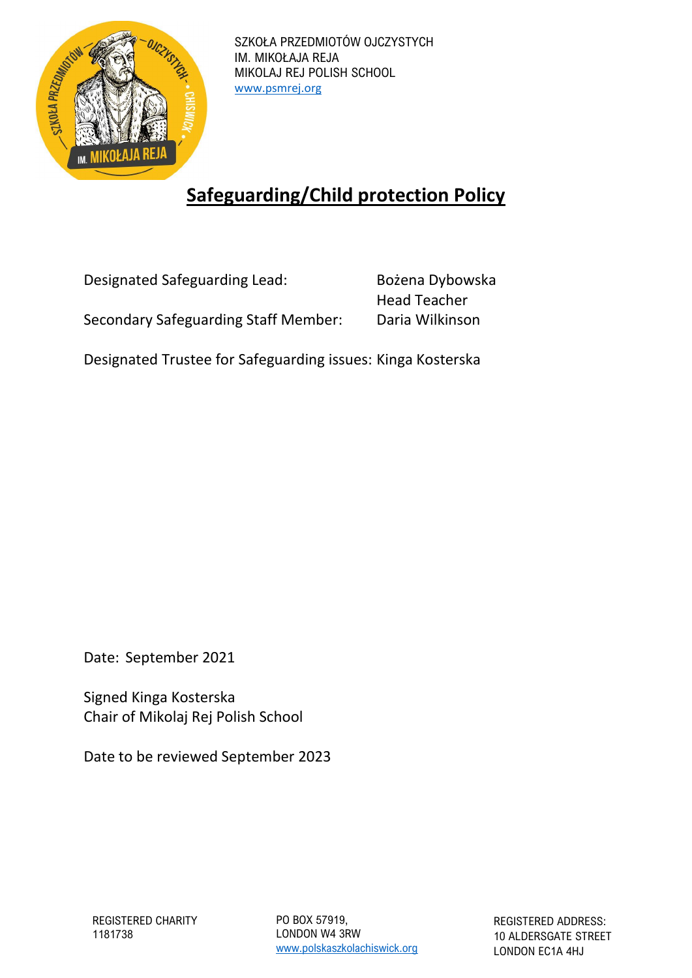

SZKOŁA PRZEDMIOTÓW OJCZYSTYCH IM. MIKOŁAJA REJA MIKOLAJ REJ POLISH SCHOOL [www.psmrej.org](http://www.psmrej.org/)

# **Safeguarding/Child protection Policy**

| Designated Safeguarding Lead:               | Bożena Dybowska     |  |
|---------------------------------------------|---------------------|--|
|                                             | <b>Head Teacher</b> |  |
| <b>Secondary Safeguarding Staff Member:</b> | Daria Wilkinson     |  |

Designated Trustee for Safeguarding issues: Kinga Kosterska

Date: September 2021

Signed Kinga Kosterska Chair of Mikolaj Rej Polish School

Date to be reviewed September 2023

PO BOX 57919, LONDON W4 3RW [www.polskaszkolachiswick.org](http://www.polskaszkolachiswick.org/)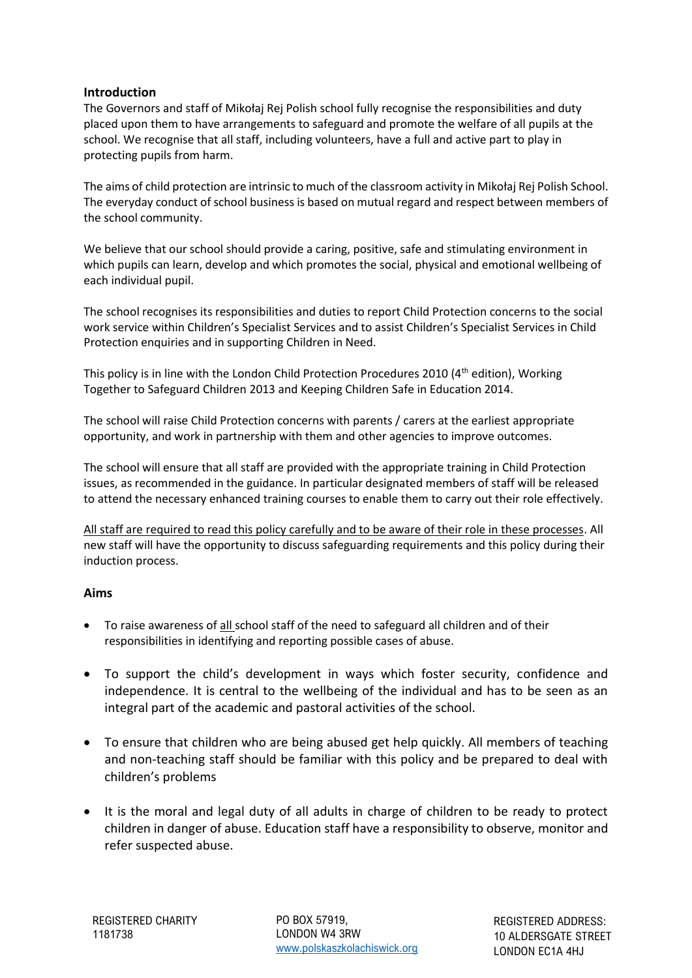## **Introduction**

The Governors and staff of Mikołaj Rej Polish school fully recognise the responsibilities and duty placed upon them to have arrangements to safeguard and promote the welfare of all pupils at the school. We recognise that all staff, including volunteers, have a full and active part to play in protecting pupils from harm.

The aims of child protection are intrinsic to much of the classroom activity in Mikołaj Rej Polish School. The everyday conduct of school business is based on mutual regard and respect between members of the school community.

We believe that our school should provide a caring, positive, safe and stimulating environment in which pupils can learn, develop and which promotes the social, physical and emotional wellbeing of each individual pupil.

The school recognises its responsibilities and duties to report Child Protection concerns to the social work service within Children's Specialist Services and to assist Children's Specialist Services in Child Protection enquiries and in supporting Children in Need.

This policy is in line with the London Child Protection Procedures 2010 (4<sup>th</sup> edition), Working Together to Safeguard Children 2013 and Keeping Children Safe in Education 2014.

The school will raise Child Protection concerns with parents / carers at the earliest appropriate opportunity, and work in partnership with them and other agencies to improve outcomes.

The school will ensure that all staff are provided with the appropriate training in Child Protection issues, as recommended in the guidance. In particular designated members of staff will be released to attend the necessary enhanced training courses to enable them to carry out their role effectively.

All staff are required to read this policy carefully and to be aware of their role in these processes. All new staff will have the opportunity to discuss safeguarding requirements and this policy during their induction process.

## **Aims**

- To raise awareness of all school staff of the need to safeguard all children and of their responsibilities in identifying and reporting possible cases of abuse.
- To support the child's development in ways which foster security, confidence and independence. It is central to the wellbeing of the individual and has to be seen as an integral part of the academic and pastoral activities of the school.
- To ensure that children who are being abused get help quickly. All members of teaching and non-teaching staff should be familiar with this policy and be prepared to deal with children's problems
- It is the moral and legal duty of all adults in charge of children to be ready to protect children in danger of abuse. Education staff have a responsibility to observe, monitor and refer suspected abuse.

PO BOX 57919, LONDON W4 3RW [www.polskaszkolachiswick.org](http://www.polskaszkolachiswick.org/)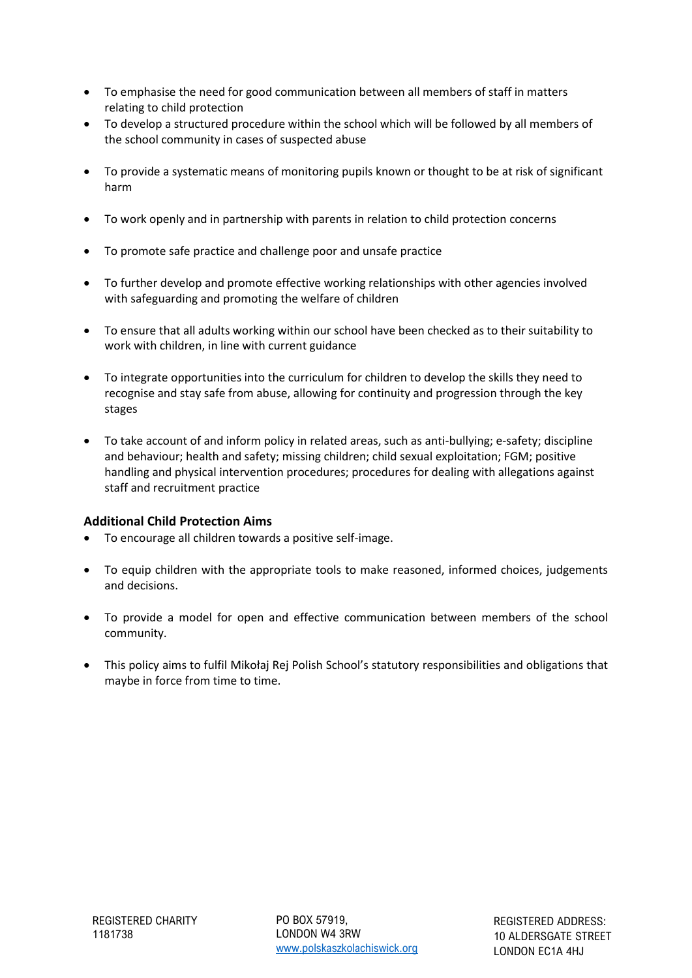- To emphasise the need for good communication between all members of staff in matters relating to child protection
- To develop a structured procedure within the school which will be followed by all members of the school community in cases of suspected abuse
- To provide a systematic means of monitoring pupils known or thought to be at risk of significant harm
- To work openly and in partnership with parents in relation to child protection concerns
- To promote safe practice and challenge poor and unsafe practice
- To further develop and promote effective working relationships with other agencies involved with safeguarding and promoting the welfare of children
- To ensure that all adults working within our school have been checked as to their suitability to work with children, in line with current guidance
- To integrate opportunities into the curriculum for children to develop the skills they need to recognise and stay safe from abuse, allowing for continuity and progression through the key stages
- To take account of and inform policy in related areas, such as anti-bullying; e-safety; discipline and behaviour; health and safety; missing children; child sexual exploitation; FGM; positive handling and physical intervention procedures; procedures for dealing with allegations against staff and recruitment practice

## **Additional Child Protection Aims**

- To encourage all children towards a positive self-image.
- To equip children with the appropriate tools to make reasoned, informed choices, judgements and decisions.
- To provide a model for open and effective communication between members of the school community.
- This policy aims to fulfil Mikołaj Rej Polish School's statutory responsibilities and obligations that maybe in force from time to time.

PO BOX 57919, LONDON W4 3RW [www.polskaszkolachiswick.org](http://www.polskaszkolachiswick.org/)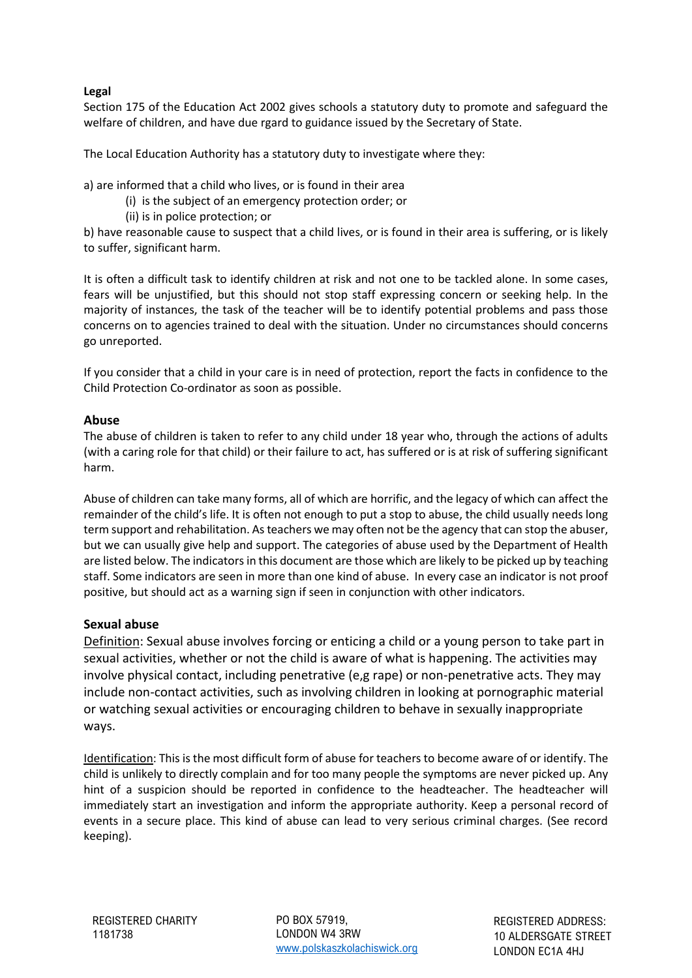## **Legal**

Section 175 of the Education Act 2002 gives schools a statutory duty to promote and safeguard the welfare of children, and have due rgard to guidance issued by the Secretary of State.

The Local Education Authority has a statutory duty to investigate where they:

a) are informed that a child who lives, or is found in their area

- (i) is the subject of an emergency protection order; or
- (ii) is in police protection; or

b) have reasonable cause to suspect that a child lives, or is found in their area is suffering, or is likely to suffer, significant harm.

It is often a difficult task to identify children at risk and not one to be tackled alone. In some cases, fears will be unjustified, but this should not stop staff expressing concern or seeking help. In the majority of instances, the task of the teacher will be to identify potential problems and pass those concerns on to agencies trained to deal with the situation. Under no circumstances should concerns go unreported.

If you consider that a child in your care is in need of protection, report the facts in confidence to the Child Protection Co-ordinator as soon as possible.

## **Abuse**

The abuse of children is taken to refer to any child under 18 year who, through the actions of adults (with a caring role for that child) or their failure to act, has suffered or is at risk of suffering significant harm.

Abuse of children can take many forms, all of which are horrific, and the legacy of which can affect the remainder of the child's life. It is often not enough to put a stop to abuse, the child usually needs long term support and rehabilitation. As teachers we may often not be the agency that can stop the abuser, but we can usually give help and support. The categories of abuse used by the Department of Health are listed below. The indicators in this document are those which are likely to be picked up by teaching staff. Some indicators are seen in more than one kind of abuse. In every case an indicator is not proof positive, but should act as a warning sign if seen in conjunction with other indicators.

## **Sexual abuse**

Definition: Sexual abuse involves forcing or enticing a child or a young person to take part in sexual activities, whether or not the child is aware of what is happening. The activities may involve physical contact, including penetrative (e,g rape) or non-penetrative acts. They may include non-contact activities, such as involving children in looking at pornographic material or watching sexual activities or encouraging children to behave in sexually inappropriate ways.

Identification: This is the most difficult form of abuse for teachers to become aware of or identify. The child is unlikely to directly complain and for too many people the symptoms are never picked up. Any hint of a suspicion should be reported in confidence to the headteacher. The headteacher will immediately start an investigation and inform the appropriate authority. Keep a personal record of events in a secure place. This kind of abuse can lead to very serious criminal charges. (See record keeping).

PO BOX 57919, LONDON W4 3RW [www.polskaszkolachiswick.org](http://www.polskaszkolachiswick.org/)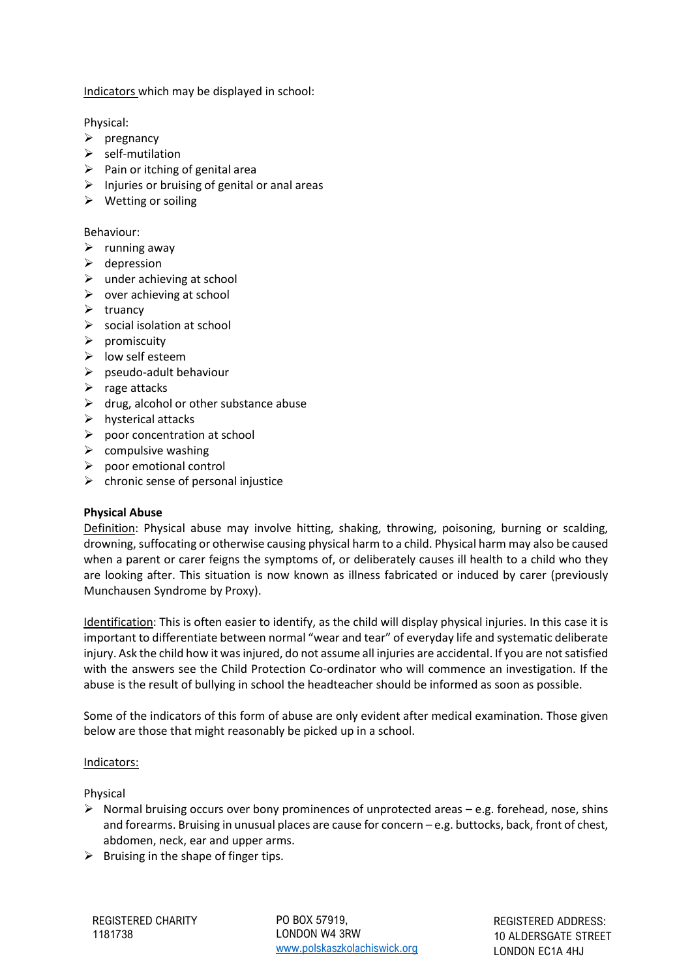Indicators which may be displayed in school:

Physical:

- ➢ pregnancy
- ➢ self-mutilation
- $\triangleright$  Pain or itching of genital area
- $\triangleright$  Injuries or bruising of genital or anal areas
- ➢ Wetting or soiling

Behaviour:

- $\triangleright$  running away
- $\triangleright$  depression
- $\triangleright$  under achieving at school
- $\triangleright$  over achieving at school
- ➢ truancy
- $\triangleright$  social isolation at school
- $\triangleright$  promiscuity
- ➢ low self esteem
- ➢ pseudo-adult behaviour
- $\triangleright$  rage attacks
- $\triangleright$  drug, alcohol or other substance abuse
- $\triangleright$  hysterical attacks
- $\triangleright$  poor concentration at school
- $\triangleright$  compulsive washing
- $\triangleright$  poor emotional control
- $\triangleright$  chronic sense of personal injustice

#### **Physical Abuse**

Definition: Physical abuse may involve hitting, shaking, throwing, poisoning, burning or scalding, drowning, suffocating or otherwise causing physical harm to a child. Physical harm may also be caused when a parent or carer feigns the symptoms of, or deliberately causes ill health to a child who they are looking after. This situation is now known as illness fabricated or induced by carer (previously Munchausen Syndrome by Proxy).

Identification: This is often easier to identify, as the child will display physical injuries. In this case it is important to differentiate between normal "wear and tear" of everyday life and systematic deliberate injury. Ask the child how it was injured, do not assume all injuries are accidental. If you are not satisfied with the answers see the Child Protection Co-ordinator who will commence an investigation. If the abuse is the result of bullying in school the headteacher should be informed as soon as possible.

Some of the indicators of this form of abuse are only evident after medical examination. Those given below are those that might reasonably be picked up in a school.

#### Indicators:

Physical

- $\triangleright$  Normal bruising occurs over bony prominences of unprotected areas e.g. forehead, nose, shins and forearms. Bruising in unusual places are cause for concern – e.g. buttocks, back, front of chest, abdomen, neck, ear and upper arms.
- $\triangleright$  Bruising in the shape of finger tips.

PO BOX 57919, LONDON W4 3RW [www.polskaszkolachiswick.org](http://www.polskaszkolachiswick.org/)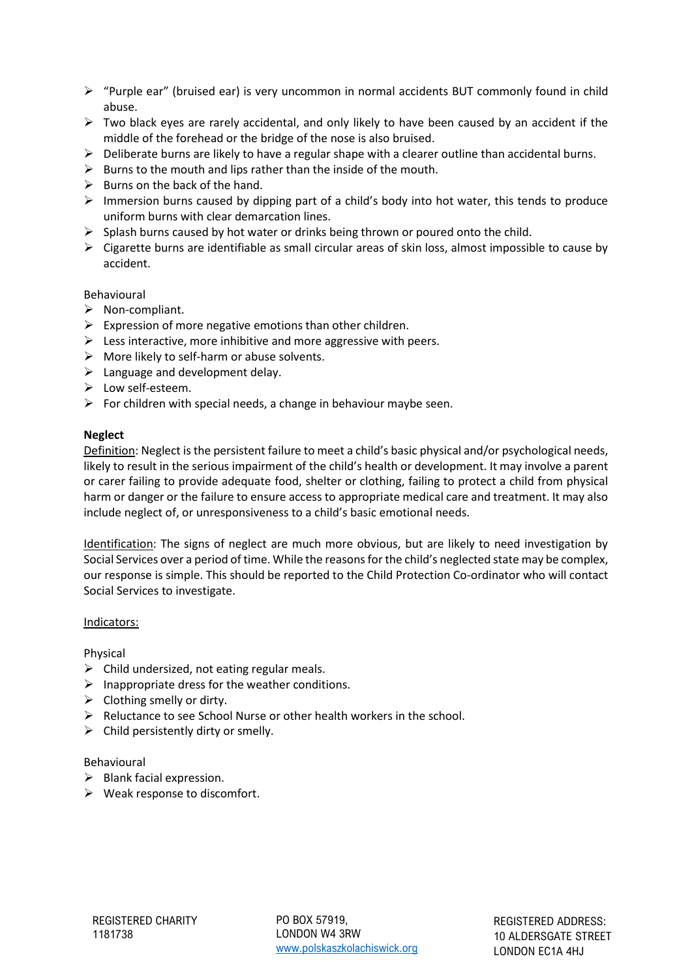- ➢ "Purple ear" (bruised ear) is very uncommon in normal accidents BUT commonly found in child abuse.
- $\triangleright$  Two black eyes are rarely accidental, and only likely to have been caused by an accident if the middle of the forehead or the bridge of the nose is also bruised.
- $\triangleright$  Deliberate burns are likely to have a regular shape with a clearer outline than accidental burns.
- $\triangleright$  Burns to the mouth and lips rather than the inside of the mouth.
- $\triangleright$  Burns on the back of the hand.
- ➢ Immersion burns caused by dipping part of a child's body into hot water, this tends to produce uniform burns with clear demarcation lines.
- $\triangleright$  Splash burns caused by hot water or drinks being thrown or poured onto the child.
- $\triangleright$  Cigarette burns are identifiable as small circular areas of skin loss, almost impossible to cause by accident.

Behavioural

- ➢ Non-compliant.
- $\triangleright$  Expression of more negative emotions than other children.
- $\triangleright$  Less interactive, more inhibitive and more aggressive with peers.
- $\triangleright$  More likely to self-harm or abuse solvents.
- $\triangleright$  Language and development delay.
- ➢ Low self-esteem.
- $\triangleright$  For children with special needs, a change in behaviour maybe seen.

#### **Neglect**

Definition: Neglect is the persistent failure to meet a child's basic physical and/or psychological needs, likely to result in the serious impairment of the child's health or development. It may involve a parent or carer failing to provide adequate food, shelter or clothing, failing to protect a child from physical harm or danger or the failure to ensure access to appropriate medical care and treatment. It may also include neglect of, or unresponsiveness to a child's basic emotional needs.

Identification: The signs of neglect are much more obvious, but are likely to need investigation by Social Services over a period of time. While the reasons for the child's neglected state may be complex, our response is simple. This should be reported to the Child Protection Co-ordinator who will contact Social Services to investigate.

#### Indicators:

Physical

- $\triangleright$  Child undersized, not eating regular meals.
- $\triangleright$  Inappropriate dress for the weather conditions.
- $\triangleright$  Clothing smelly or dirty.
- ➢ Reluctance to see School Nurse or other health workers in the school.
- $\triangleright$  Child persistently dirty or smelly.

#### Behavioural

- $\triangleright$  Blank facial expression.
- $\triangleright$  Weak response to discomfort.

PO BOX 57919, LONDON W4 3RW [www.polskaszkolachiswick.org](http://www.polskaszkolachiswick.org/)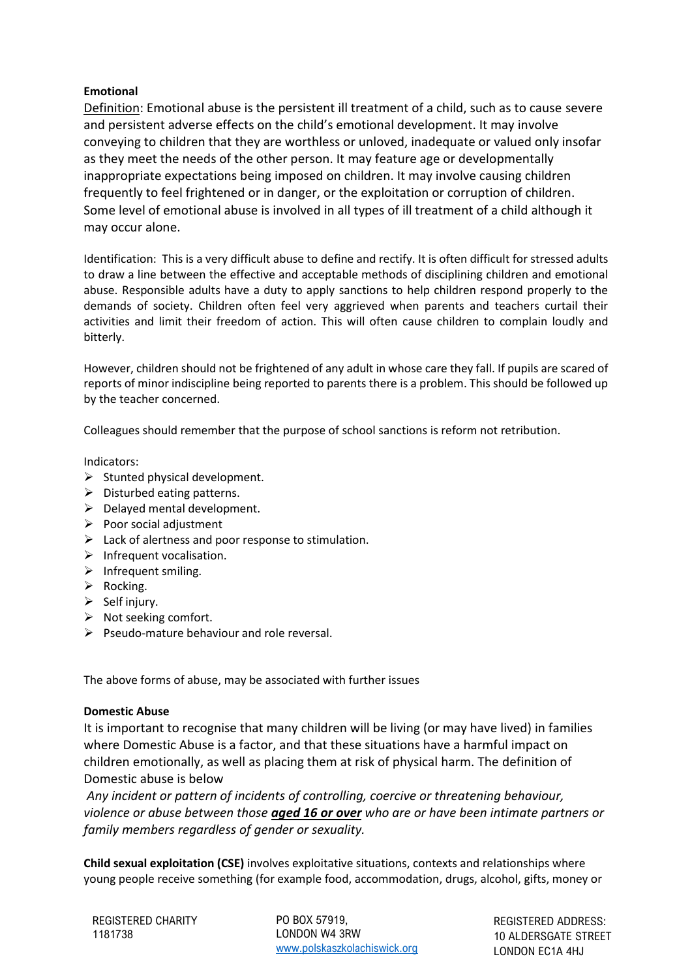## **Emotional**

Definition: Emotional abuse is the persistent ill treatment of a child, such as to cause severe and persistent adverse effects on the child's emotional development. It may involve conveying to children that they are worthless or unloved, inadequate or valued only insofar as they meet the needs of the other person. It may feature age or developmentally inappropriate expectations being imposed on children. It may involve causing children frequently to feel frightened or in danger, or the exploitation or corruption of children. Some level of emotional abuse is involved in all types of ill treatment of a child although it may occur alone.

Identification: This is a very difficult abuse to define and rectify. It is often difficult for stressed adults to draw a line between the effective and acceptable methods of disciplining children and emotional abuse. Responsible adults have a duty to apply sanctions to help children respond properly to the demands of society. Children often feel very aggrieved when parents and teachers curtail their activities and limit their freedom of action. This will often cause children to complain loudly and bitterly.

However, children should not be frightened of any adult in whose care they fall. If pupils are scared of reports of minor indiscipline being reported to parents there is a problem. This should be followed up by the teacher concerned.

Colleagues should remember that the purpose of school sanctions is reform not retribution.

Indicators:

- $\triangleright$  Stunted physical development.
- ➢ Disturbed eating patterns.
- $\triangleright$  Delayed mental development.
- $\triangleright$  Poor social adjustment
- ➢ Lack of alertness and poor response to stimulation.
- ➢ Infrequent vocalisation.
- ➢ Infrequent smiling.
- ➢ Rocking.
- $\triangleright$  Self injury.
- ➢ Not seeking comfort.
- $\triangleright$  Pseudo-mature behaviour and role reversal.

The above forms of abuse, may be associated with further issues

## **Domestic Abuse**

It is important to recognise that many children will be living (or may have lived) in families where Domestic Abuse is a factor, and that these situations have a harmful impact on children emotionally, as well as placing them at risk of physical harm. The definition of Domestic abuse is below

*Any incident or pattern of incidents of controlling, coercive or threatening behaviour, violence or abuse between those aged 16 or over who are or have been intimate partners or family members regardless of gender or sexuality.*

**Child sexual exploitation (CSE)** involves exploitative situations, contexts and relationships where young people receive something (for example food, accommodation, drugs, alcohol, gifts, money or

PO BOX 57919, LONDON W4 3RW [www.polskaszkolachiswick.org](http://www.polskaszkolachiswick.org/)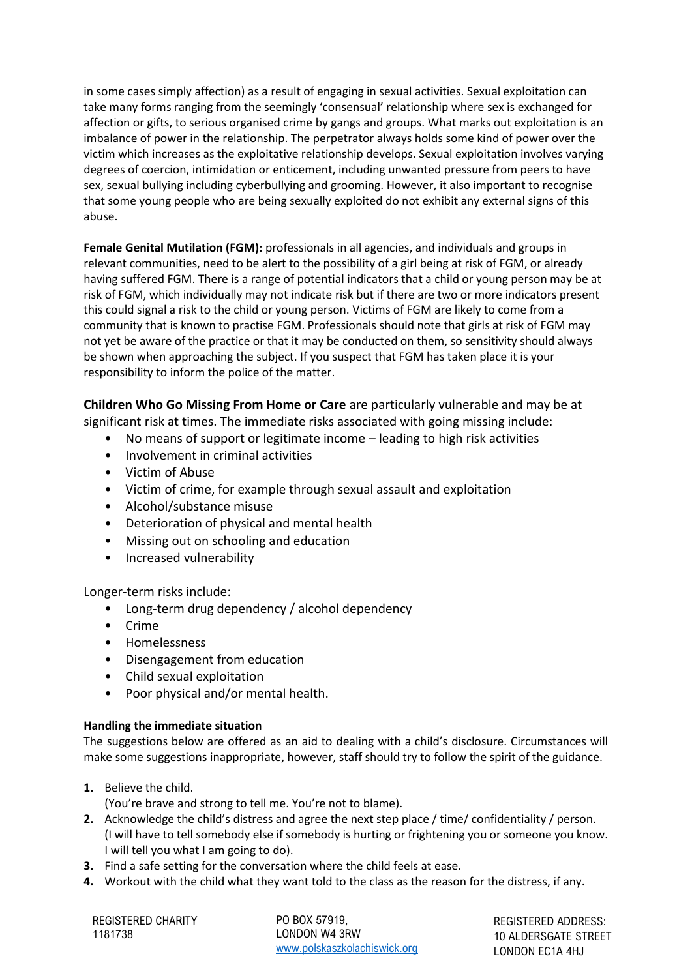in some cases simply affection) as a result of engaging in sexual activities. Sexual exploitation can take many forms ranging from the seemingly 'consensual' relationship where sex is exchanged for affection or gifts, to serious organised crime by gangs and groups. What marks out exploitation is an imbalance of power in the relationship. The perpetrator always holds some kind of power over the victim which increases as the exploitative relationship develops. Sexual exploitation involves varying degrees of coercion, intimidation or enticement, including unwanted pressure from peers to have sex, sexual bullying including cyberbullying and grooming. However, it also important to recognise that some young people who are being sexually exploited do not exhibit any external signs of this abuse.

**Female Genital Mutilation (FGM):** professionals in all agencies, and individuals and groups in relevant communities, need to be alert to the possibility of a girl being at risk of FGM, or already having suffered FGM. There is a range of potential indicators that a child or young person may be at risk of FGM, which individually may not indicate risk but if there are two or more indicators present this could signal a risk to the child or young person. Victims of FGM are likely to come from a community that is known to practise FGM. Professionals should note that girls at risk of FGM may not yet be aware of the practice or that it may be conducted on them, so sensitivity should always be shown when approaching the subject. If you suspect that FGM has taken place it is your responsibility to inform the police of the matter.

**Children Who Go Missing From Home or Care** are particularly vulnerable and may be at significant risk at times. The immediate risks associated with going missing include:

- No means of support or legitimate income leading to high risk activities
- Involvement in criminal activities
- Victim of Abuse
- Victim of crime, for example through sexual assault and exploitation
- Alcohol/substance misuse
- Deterioration of physical and mental health
- Missing out on schooling and education
- Increased vulnerability

Longer-term risks include:

- Long-term drug dependency / alcohol dependency
- Crime
- Homelessness
- Disengagement from education
- Child sexual exploitation
- Poor physical and/or mental health.

## **Handling the immediate situation**

The suggestions below are offered as an aid to dealing with a child's disclosure. Circumstances will make some suggestions inappropriate, however, staff should try to follow the spirit of the guidance.

**1.** Believe the child.

(You're brave and strong to tell me. You're not to blame).

- **2.** Acknowledge the child's distress and agree the next step place / time/ confidentiality / person. (I will have to tell somebody else if somebody is hurting or frightening you or someone you know. I will tell you what I am going to do).
- **3.** Find a safe setting for the conversation where the child feels at ease.
- **4.** Workout with the child what they want told to the class as the reason for the distress, if any.

REGISTERED CHARITY 1181738

PO BOX 57919, LONDON W4 3RW [www.polskaszkolachiswick.org](http://www.polskaszkolachiswick.org/)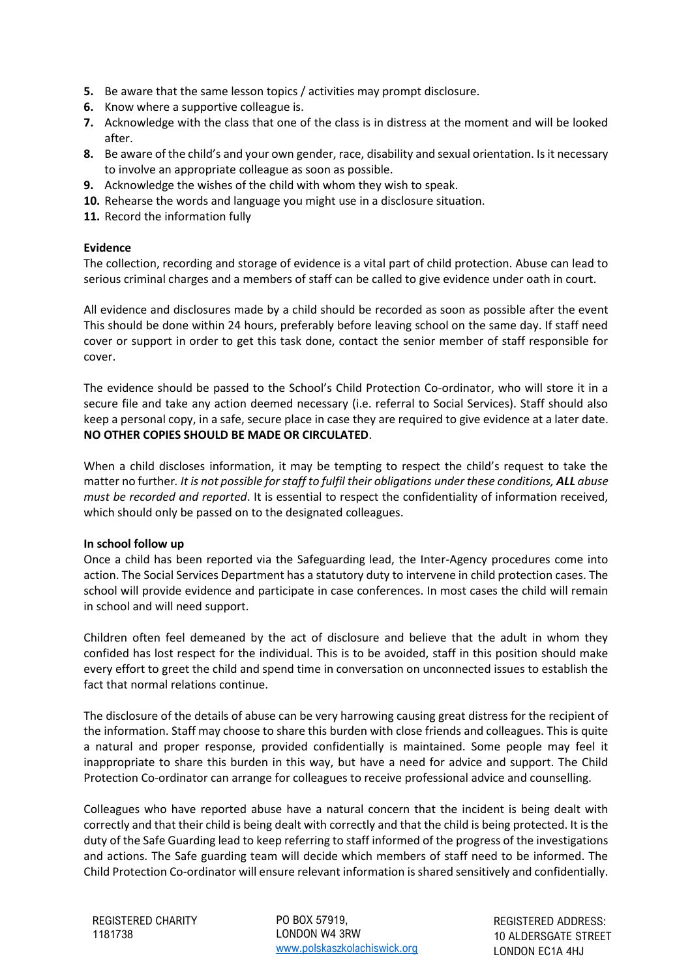- **5.** Be aware that the same lesson topics / activities may prompt disclosure.
- **6.** Know where a supportive colleague is.
- **7.** Acknowledge with the class that one of the class is in distress at the moment and will be looked after.
- **8.** Be aware of the child's and your own gender, race, disability and sexual orientation. Is it necessary to involve an appropriate colleague as soon as possible.
- **9.** Acknowledge the wishes of the child with whom they wish to speak.
- **10.** Rehearse the words and language you might use in a disclosure situation.
- **11.** Record the information fully

#### **Evidence**

The collection, recording and storage of evidence is a vital part of child protection. Abuse can lead to serious criminal charges and a members of staff can be called to give evidence under oath in court.

All evidence and disclosures made by a child should be recorded as soon as possible after the event This should be done within 24 hours, preferably before leaving school on the same day. If staff need cover or support in order to get this task done, contact the senior member of staff responsible for cover.

The evidence should be passed to the School's Child Protection Co-ordinator, who will store it in a secure file and take any action deemed necessary (i.e. referral to Social Services). Staff should also keep a personal copy, in a safe, secure place in case they are required to give evidence at a later date. **NO OTHER COPIES SHOULD BE MADE OR CIRCULATED**.

When a child discloses information, it may be tempting to respect the child's request to take the matter no further*. It is not possible for staff to fulfil their obligations under these conditions, ALL abuse must be recorded and reported*. It is essential to respect the confidentiality of information received, which should only be passed on to the designated colleagues.

#### **In school follow up**

Once a child has been reported via the Safeguarding lead, the Inter-Agency procedures come into action. The Social Services Department has a statutory duty to intervene in child protection cases. The school will provide evidence and participate in case conferences. In most cases the child will remain in school and will need support.

Children often feel demeaned by the act of disclosure and believe that the adult in whom they confided has lost respect for the individual. This is to be avoided, staff in this position should make every effort to greet the child and spend time in conversation on unconnected issues to establish the fact that normal relations continue.

The disclosure of the details of abuse can be very harrowing causing great distress for the recipient of the information. Staff may choose to share this burden with close friends and colleagues. This is quite a natural and proper response, provided confidentially is maintained. Some people may feel it inappropriate to share this burden in this way, but have a need for advice and support. The Child Protection Co-ordinator can arrange for colleagues to receive professional advice and counselling.

Colleagues who have reported abuse have a natural concern that the incident is being dealt with correctly and that their child is being dealt with correctly and that the child is being protected. It is the duty of the Safe Guarding lead to keep referring to staff informed of the progress of the investigations and actions. The Safe guarding team will decide which members of staff need to be informed. The Child Protection Co-ordinator will ensure relevant information is shared sensitively and confidentially.

PO BOX 57919, LONDON W4 3RW [www.polskaszkolachiswick.org](http://www.polskaszkolachiswick.org/)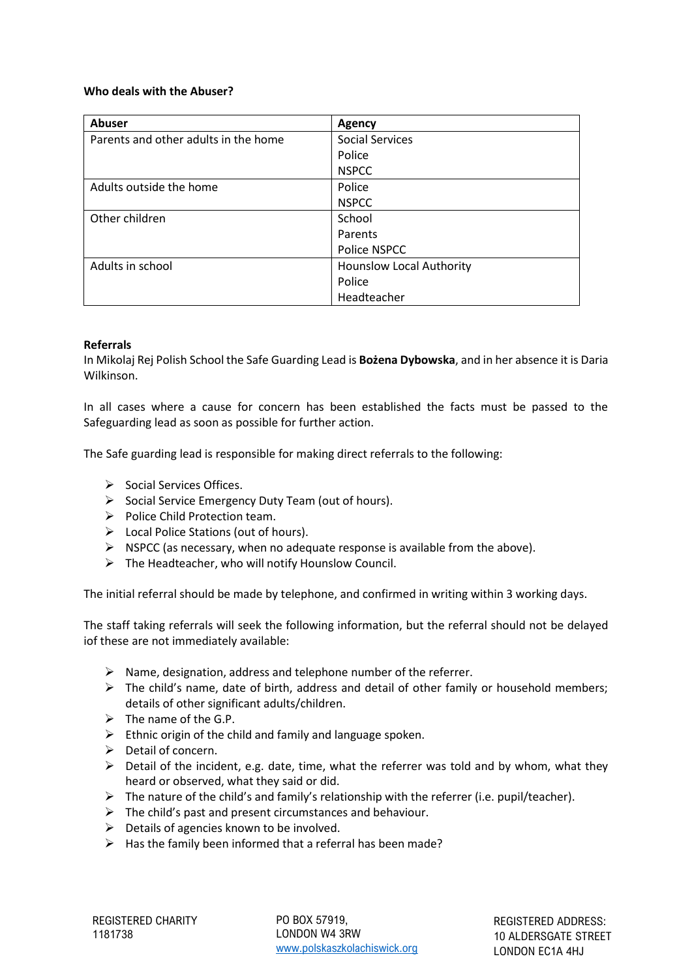#### **Who deals with the Abuser?**

| Abuser                               | Agency                          |
|--------------------------------------|---------------------------------|
| Parents and other adults in the home | <b>Social Services</b>          |
|                                      | Police                          |
|                                      | <b>NSPCC</b>                    |
| Adults outside the home              | Police                          |
|                                      | <b>NSPCC</b>                    |
| Other children                       | School                          |
|                                      | Parents                         |
|                                      | Police NSPCC                    |
| Adults in school                     | <b>Hounslow Local Authority</b> |
|                                      | Police                          |
|                                      | Headteacher                     |

### **Referrals**

In Mikolaj Rej Polish School the Safe Guarding Lead is **Bożena Dybowska**, and in her absence it is Daria Wilkinson.

In all cases where a cause for concern has been established the facts must be passed to the Safeguarding lead as soon as possible for further action.

The Safe guarding lead is responsible for making direct referrals to the following:

- ➢ Social Services Offices.
- ➢ Social Service Emergency Duty Team (out of hours).
- ➢ Police Child Protection team.
- ➢ Local Police Stations (out of hours).
- $\triangleright$  NSPCC (as necessary, when no adequate response is available from the above).
- $\triangleright$  The Headteacher, who will notify Hounslow Council.

The initial referral should be made by telephone, and confirmed in writing within 3 working days.

The staff taking referrals will seek the following information, but the referral should not be delayed iof these are not immediately available:

- $\triangleright$  Name, designation, address and telephone number of the referrer.
- $\triangleright$  The child's name, date of birth, address and detail of other family or household members; details of other significant adults/children.
- $\triangleright$  The name of the G.P.
- $\triangleright$  Ethnic origin of the child and family and language spoken.
- ➢ Detail of concern.
- $\triangleright$  Detail of the incident, e.g. date, time, what the referrer was told and by whom, what they heard or observed, what they said or did.
- ➢ The nature of the child's and family's relationship with the referrer (i.e. pupil/teacher).
- $\triangleright$  The child's past and present circumstances and behaviour.
- $\triangleright$  Details of agencies known to be involved.
- $\triangleright$  Has the family been informed that a referral has been made?

PO BOX 57919, LONDON W4 3RW [www.polskaszkolachiswick.org](http://www.polskaszkolachiswick.org/)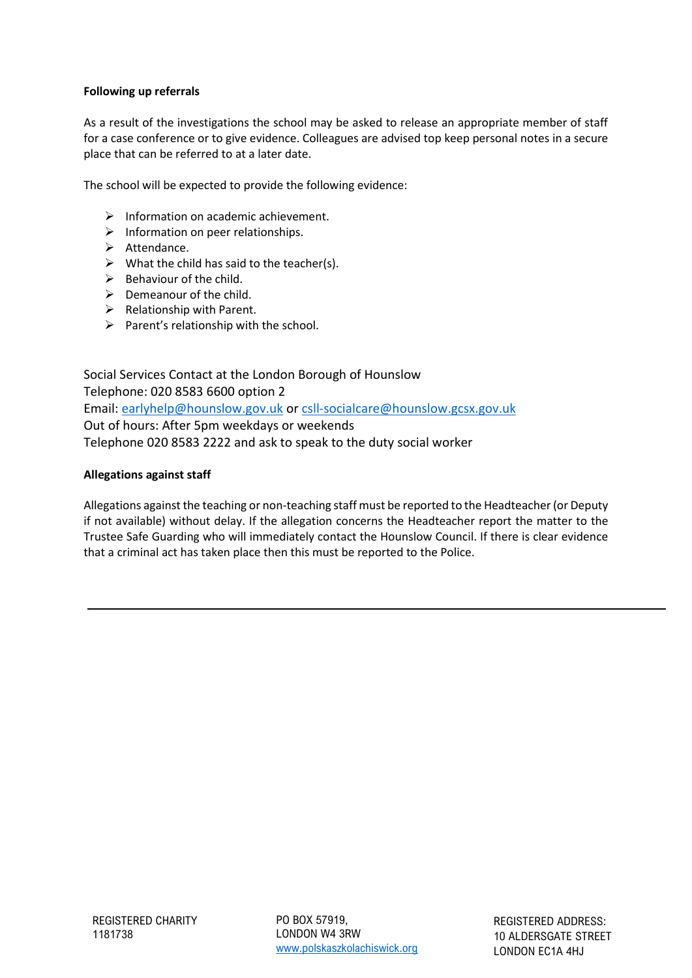### **Following up referrals**

As a result of the investigations the school may be asked to release an appropriate member of staff for a case conference or to give evidence. Colleagues are advised top keep personal notes in a secure place that can be referred to at a later date.

The school will be expected to provide the following evidence:

- ➢ Information on academic achievement.
- $\triangleright$  Information on peer relationships.
- ➢ Attendance.
- $\triangleright$  What the child has said to the teacher(s).
- $\triangleright$  Behaviour of the child.
- $\triangleright$  Demeanour of the child.
- $\triangleright$  Relationship with Parent.
- $\triangleright$  Parent's relationship with the school.

Social Services Contact at the London Borough of Hounslow Telephone: 020 8583 6600 option 2 Email: [earlyhelp@hounslow.gov.uk](mailto:earlyhelp@hounslow.gov.uk) or [csll-socialcare@hounslow.gcsx.gov.uk](mailto:csll-socialcare@hounslow.gcsx.gov.uk) Out of hours: After 5pm weekdays or weekends Telephone 020 8583 2222 and ask to speak to the duty social worker

#### **Allegations against staff**

Allegations against the teaching or non-teaching staff must be reported to the Headteacher (or Deputy if not available) without delay. If the allegation concerns the Headteacher report the matter to the Trustee Safe Guarding who will immediately contact the Hounslow Council. If there is clear evidence that a criminal act has taken place then this must be reported to the Police.

PO BOX 57919, LONDON W4 3RW [www.polskaszkolachiswick.org](http://www.polskaszkolachiswick.org/)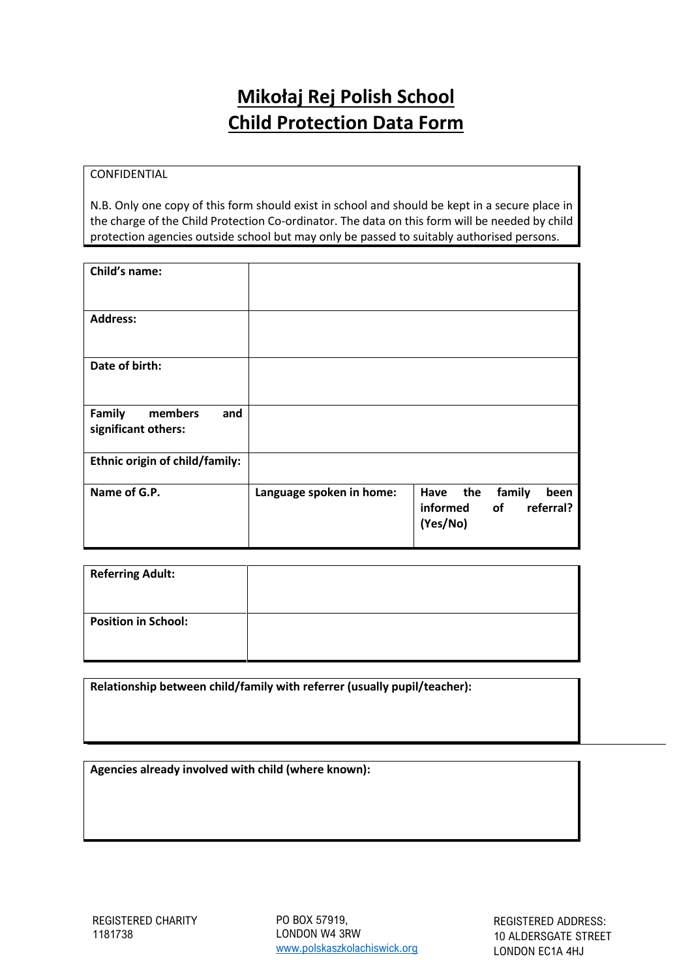# **Mikołaj Rej Polish School Child Protection Data Form**

## **CONFIDENTIAL**

N.B. Only one copy of this form should exist in school and should be kept in a secure place in the charge of the Child Protection Co-ordinator. The data on this form will be needed by child protection agencies outside school but may only be passed to suitably authorised persons.

| Child's name:                                   |                          |                                                                       |
|-------------------------------------------------|--------------------------|-----------------------------------------------------------------------|
| <b>Address:</b>                                 |                          |                                                                       |
| Date of birth:                                  |                          |                                                                       |
| Family<br>members<br>and<br>significant others: |                          |                                                                       |
| Ethnic origin of child/family:                  |                          |                                                                       |
| Name of G.P.                                    | Language spoken in home: | Have<br>the<br>family<br>been<br>referral?<br>informed of<br>(Yes/No) |

| <b>Referring Adult:</b>    |  |
|----------------------------|--|
| <b>Position in School:</b> |  |

**Relationship between child/family with referrer (usually pupil/teacher):**

**Agencies already involved with child (where known):**

PO BOX 57919, LONDON W4 3RW [www.polskaszkolachiswick.org](http://www.polskaszkolachiswick.org/)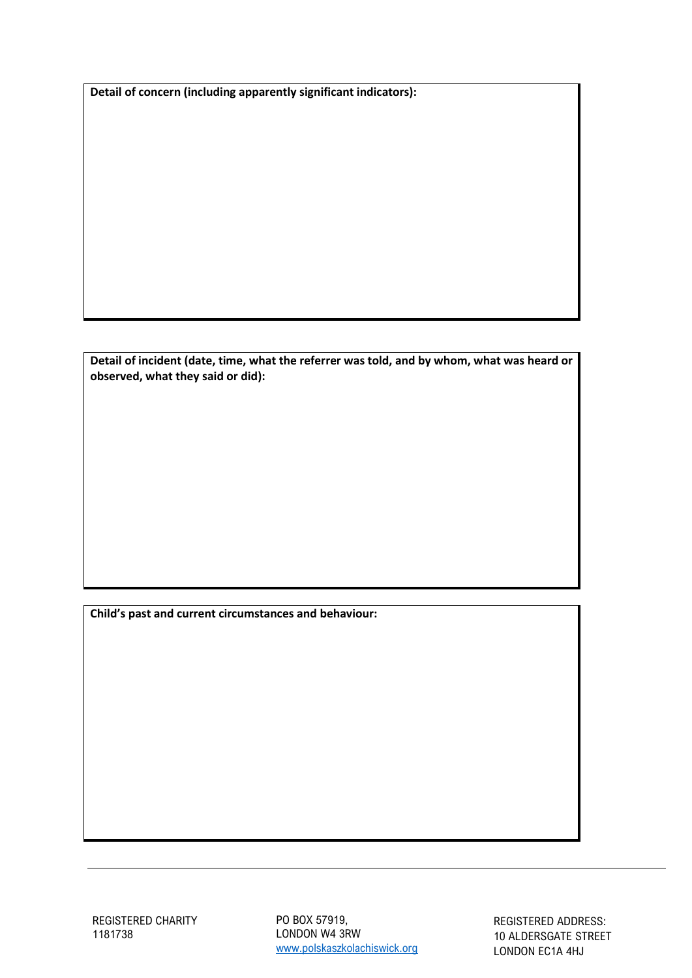**Detail of concern (including apparently significant indicators):**

**Detail of incident (date, time, what the referrer was told, and by whom, what was heard or observed, what they said or did):**

**Child's past and current circumstances and behaviour:**

PO BOX 57919, LONDON W4 3RW [www.polskaszkolachiswick.org](http://www.polskaszkolachiswick.org/)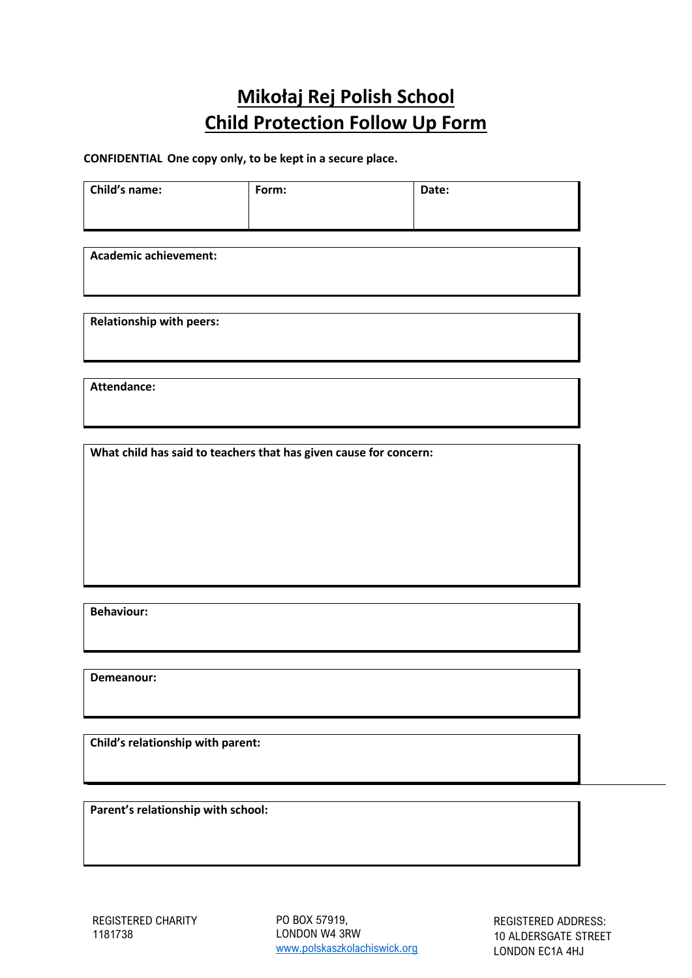# **Mikołaj Rej Polish School Child Protection Follow Up Form**

**CONFIDENTIAL One copy only, to be kept in a secure place.**

| Child's name:                                                     | Form: | Date: |  |  |
|-------------------------------------------------------------------|-------|-------|--|--|
|                                                                   |       |       |  |  |
|                                                                   |       |       |  |  |
|                                                                   |       |       |  |  |
| <b>Academic achievement:</b>                                      |       |       |  |  |
|                                                                   |       |       |  |  |
|                                                                   |       |       |  |  |
| <b>Relationship with peers:</b>                                   |       |       |  |  |
|                                                                   |       |       |  |  |
|                                                                   |       |       |  |  |
| <b>Attendance:</b>                                                |       |       |  |  |
|                                                                   |       |       |  |  |
|                                                                   |       |       |  |  |
|                                                                   |       |       |  |  |
| What child has said to teachers that has given cause for concern: |       |       |  |  |
|                                                                   |       |       |  |  |
|                                                                   |       |       |  |  |
|                                                                   |       |       |  |  |
|                                                                   |       |       |  |  |
|                                                                   |       |       |  |  |
|                                                                   |       |       |  |  |
|                                                                   |       |       |  |  |
| <b>Behaviour:</b>                                                 |       |       |  |  |

**Demeanour:**

**Child's relationship with parent:**

**Parent's relationship with school:**

PO BOX 57919, LONDON W4 3RW [www.polskaszkolachiswick.org](http://www.polskaszkolachiswick.org/)